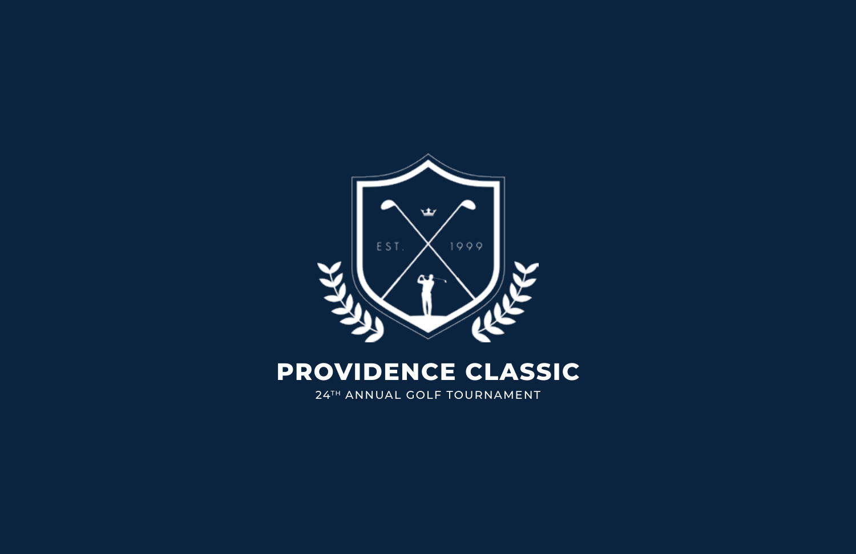

# **PROVIDENCE CLASSIC**

24TH ANNUAL GOLF TOURNAMENT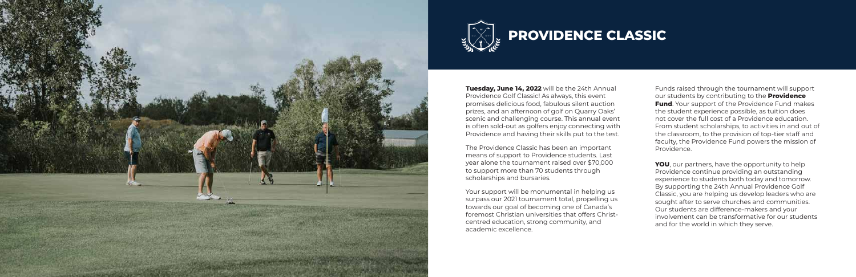**Tuesday, June 14, 2022** will be the 24th Annual Providence Golf Classic! As always, this event promises delicious food, fabulous silent auction prizes, and an afternoon of golf on Quarry Oaks' scenic and challenging course. This annual event is often sold-out as golfers enjoy connecting with Providence and having their skills put to the test.

Your support will be monumental in helping us surpass our 2021 tournament total, propelling us towards our goal of becoming one of Canada's foremost Christian universities that offers Christcentred education, strong community, and academic excellence.

The Providence Classic has been an important means of support to Providence students. Last year alone the tournament raised over \$70,000 to support more than 70 students through scholarships and bursaries.

**YOU**, our partners, have the opportunity to help Providence continue providing an outstanding experience to students both today and tomorrow. By supporting the 24th Annual Providence Golf Classic, you are helping us develop leaders who are sought after to serve churches and communities. Our students are difference-makers and your involvement can be transformative for our students and for the world in which they serve.

Funds raised through the tournament will support our students by contributing to the **Providence Fund**. Your support of the Providence Fund makes the student experience possible, as tuition does not cover the full cost of a Providence education. From student scholarships, to activities in and out of the classroom, to the provision of top-tier staff and faculty, the Providence Fund powers the mission of Providence.



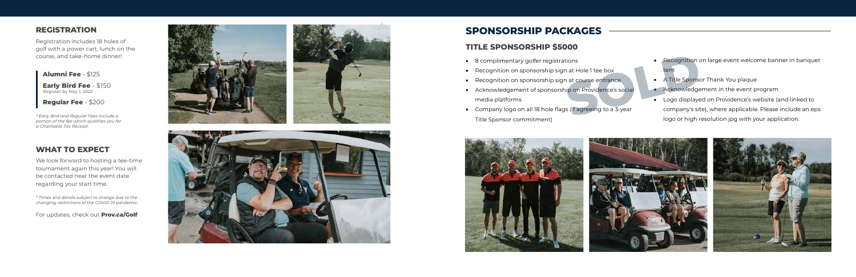#### **TITLE SPONSORSHIP \$5000**

- • 8 complimentary golfer registrations
- Recognition on sponsorship sign at Hole 1 tee box
- Recognition on sponsorship sign at course entrance
- • Acknowledgement of sponsorship on Providence's social media platforms
- • Company logo on all 18 hole flags (if agreeing to a 3-year Title Sponsor commitment)



- Recognition on large event welcome banner in banquet tent
- A Title Sponsor Thank You plaque
- Acknowledgement in the event program
- • Logo displayed on Providence's website (and linked to company's site), where applicable. Please include an eps logo or high resolution jpg with your application. Exercyption contained a state of the sponsor of the sponsor of the sponsor of the sponsor of the sponsor of the sponsor of the sponsor of the sponsor of the sponsor of the sponsor of the sponsor of the sponsor of the spons









Registration includes 18 holes of golf with a power cart, lunch on the course, and take-home dinner!

# **WHAT TO EXPECT**

We look forward to hosting a tee-time tournament again this year! You will be contacted near the event date regarding your start time.

\* Times and details subject to change due to the changing restrictions of the COVID-19 pandemic.

For updates, check out **Prov.ca/Golf**

**Alumni Fee** - \$125

**Early Bird Fee** - \$150 Register by May 1, 2022

**Regular Fee** - \$200

*\* Early Bird and Regular Fees include a portion of the fee which qualifies you for a Charitable Tax Receipt.*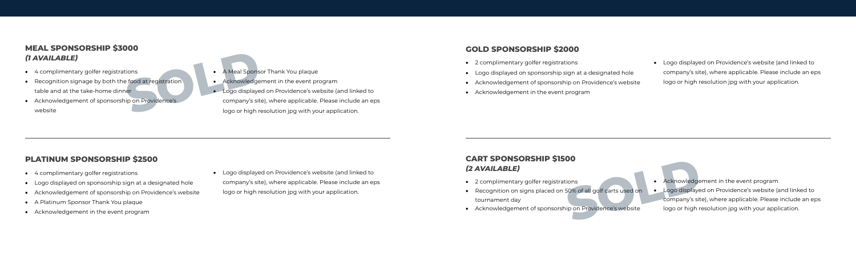#### **GOLD SPONSORSHIP \$2000**

- • 2 complimentary golfer registrations
- • Logo displayed on sponsorship sign at a designated hole
- • Acknowledgement of sponsorship on Providence's website
- • Acknowledgement in the event program

# **CART SPONSORSHIP \$1500**  *(2 AVAILABLE)*

- • Acknowledgement in the event program
- • Logo displayed on Providence's website (and linked to company's site), where applicable. Please include an eps logo or high resolution jpg with your application. cions<br>
SO% of all golf carts used on<br> **COLD COLD COLD**<br>
COMPANY's site<br>
in on Providence's website<br>
Logo or high represents the company's site<br>
logo or high represents the company's site<br>
logo or high represents the compan
- • 2 complimentary golfer registrations
- Recognition on signs placed on 50% of all golf carts used on tournament day
- • Acknowledgement of sponsorship on Providence's website

• Logo displayed on Providence's website (and linked to company's site), where applicable. Please include an eps logo or high resolution jpg with your application.

### **MEAL SPONSORSHIP \$3000**  *(1 AVAILABLE)*

- • 4 complimentary golfer registrations
- Recognition signage by both the food at registration table and at the take-home dinner
- • Acknowledgement of sponsorship on Providence's website
- A Meal Sponsor Thank You plaque
- • Acknowledgement in the event program
- Logo displayed on Providence's website (and linked to company's site), where applicable. Please include an eps logo or high resolution jpg with your application. Examples a Meal Sponsor and the sponsor of the Acknowledger<br> **SOLD Acknowledger**<br> **SOLD Acknowledger**<br> **SOLD Acknowledger**<br> **SOLD Acknowledger**<br> **SOLD Acknowledger**<br> **SOLD Acknowledger**<br> **SOLD Acknowledger**<br> **SOLD Acknowle**

# **PLATINUM SPONSORSHIP \$2500**

- • 4 complimentary golfer registrations
- • Logo displayed on sponsorship sign at a designated hole
- • Acknowledgement of sponsorship on Providence's website
- • A Platinum Sponsor Thank You plaque
- • Acknowledgement in the event program

• Logo displayed on Providence's website (and linked to company's site), where applicable. Please include an eps logo or high resolution jpg with your application.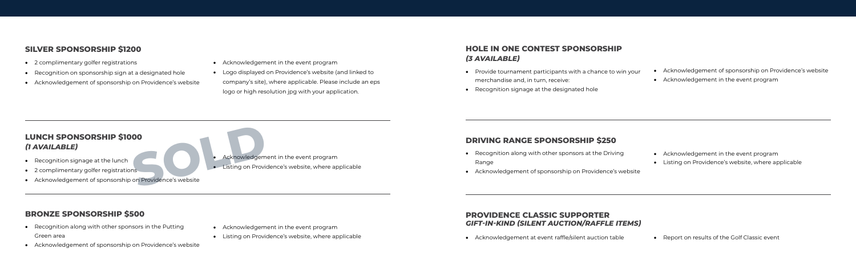### **BRONZE SPONSORSHIP \$500**

- Recognition along with other sponsors in the Putting Green area
- • Acknowledgement of sponsorship on Providence's website
- • Acknowledgement in the event program
- Listing on Providence's website, where applicable

### **DRIVING RANGE SPONSORSHIP \$250**

- • Recognition along with other sponsors at the Driving Range
- • Acknowledgement of sponsorship on Providence's website
- • Acknowledgement in the event program
- • Listing on Providence's website, where applicable

### **PROVIDENCE CLASSIC SUPPORTER**  *GIFT-IN-KIND (SILENT AUCTION/RAFFLE ITEMS)*

• Acknowledgement at event raffle/silent auction table • Report on results of the Golf Classic event

#### **SILVER SPONSORSHIP \$1200**

# **LUNCH SPONSORSHIP \$1000**  *(1 AVAILABLE)*

- • Recognition signage at the lunch
- • 2 complimentary golfer registrations
- • Acknowledgement of sponsorship on Providence's website

Acknowledgement in the event program **OO**<br>
Ins<br>
on Providence's website<br>
Charles Constants Charles Constants On Providence's website

• Listing on Providence's website, where applicable

- • 2 complimentary golfer registrations
- • Recognition on sponsorship sign at a designated hole
- • Acknowledgement of sponsorship on Providence's website
- • Acknowledgement in the event program
- • Logo displayed on Providence's website (and linked to company's site), where applicable. Please include an eps logo or high resolution jpg with your application.

## **HOLE IN ONE CONTEST SPONSORSHIP**  *(3 AVAILABLE)*

- Provide tournament participants with a chance to win your merchandise and, in turn, receive:
- Recognition signage at the designated hole
- • Acknowledgement of sponsorship on Providence's website
	- • Acknowledgement in the event program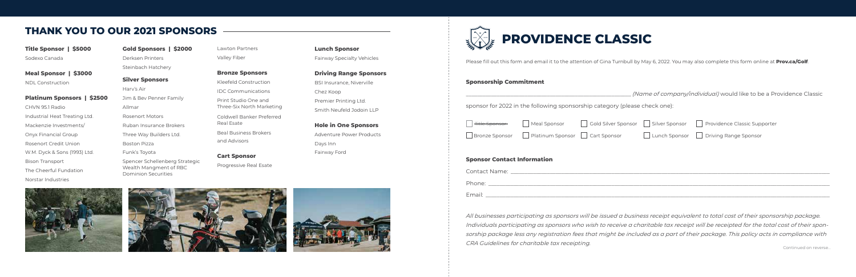Please fill out this form and email it to the attention of Gina Turnbull by May 6, 2022. You may also complete this form online at **Prov.ca/Golf**.

\_\_\_\_\_\_\_\_\_\_\_\_\_\_\_\_\_\_\_\_\_\_\_\_\_\_\_\_\_\_\_\_\_\_\_\_\_\_\_\_\_\_\_\_\_\_\_\_\_\_\_\_\_\_\_\_\_\_\_ *(Name of company/individual)* would like to be a Providence Classic lease check one):

#### **Sponsorship Commitment**

| ponsor for 2022 in the following sponsorship category (ple |  |
|------------------------------------------------------------|--|
|------------------------------------------------------------|--|

| <del>Title Sponsor</del> | Meal Sponsor                                         |  | Gold Silver Sponsor   Silver Sponsor   Providence Classic Supporter |
|--------------------------|------------------------------------------------------|--|---------------------------------------------------------------------|
|                          | Bronze Sponsor     Platinum Sponsor     Cart Sponsor |  | Lunch Sponsor   Driving Range Sponsor                               |
|                          |                                                      |  |                                                                     |

#### **Sponsor Contact Information**

| Contact Name: _ |  |
|-----------------|--|
| Phone:          |  |
| Email:          |  |

*All businesses participating as sponsors will be issued a business receipt equivalent to total cost of their sponsorship package. Individuals participating as sponsors who wish to receive a charitable tax receipt will be receipted for the total cost of their sponsorship package less any registration fees that might be included as a part of their package. This policy acts in compliance with CRA Guidelines for charitable tax receipting.*



# **THANK YOU TO OUR 2021 SPONSORS**

**Title Sponsor | \$5000** Sodexo Canada

**Meal Sponsor | \$3000** NDL Construction

**Platinum Sponsors | \$2500** CHVN 95.1 Radio

Industrial Heat Treating Ltd. Mackenzie Investments/ Onyx Financial Group Rosenort Credit Union W.M. Dyck & Sons (1993) Ltd. Bison Transport The Cheerful Fundation Norstar Industries

**Gold Sponsors | \$2000** Derksen Printers Steinbach Hatchery

**Silver Sponsors**  Harv's Air Jim & Bev Penner Family Allmar Rosenort Motors Ruban Insurance Brokers Three Way Builders Ltd. Boston Pizza Funk's Toyota Spencer Schellenberg Strategic Wealth Mangment of RBC Dominion Securities

Lawton Partners Valley Fiber

**Bronze Sponsors** Kleefeld Construction IDC Communications Print Studio One and Three-Six North Marketing Coldwell Banker Preferred Real Esate Beal Business Brokers and Advisors

**Cart Sponsor** Progressive Real Esate **Lunch Sponsor** Fairway Specialty Vehicles

#### **Driving Range Sponsors**

BSI Insurance, Niverville Chez Koop Premier Printing Ltd. Smith Neufeld Jodoin LLP

**Hole in One Sponsors**  Adventure Power Products Days Inn Fairway Ford







Continued on reverse...